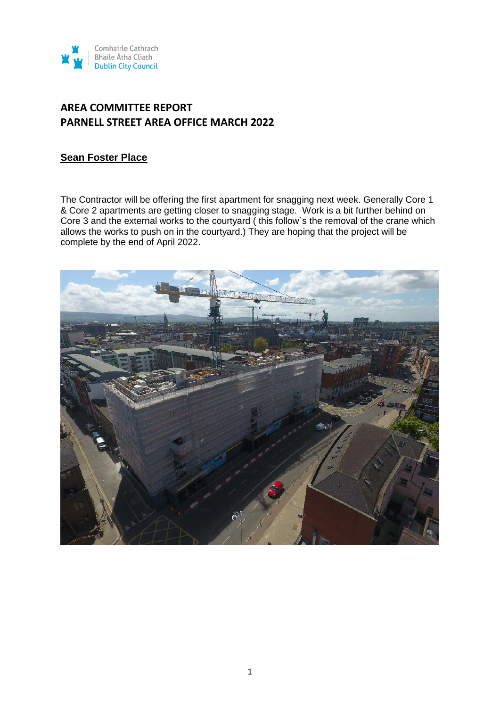

### **Sean Foster Place**

The Contractor will be offering the first apartment for snagging next week. Generally Core 1 & Core 2 apartments are getting closer to snagging stage. Work is a bit further behind on Core 3 and the external works to the courtyard ( this follow`s the removal of the crane which allows the works to push on in the courtyard.) They are hoping that the project will be complete by the end of April 2022.

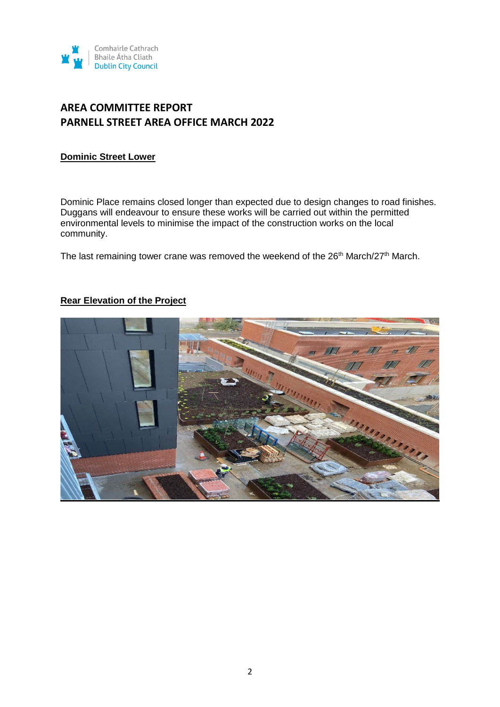

#### **Dominic Street Lower**

Dominic Place remains closed longer than expected due to design changes to road finishes. Duggans will endeavour to ensure these works will be carried out within the permitted environmental levels to minimise the impact of the construction works on the local community.

The last remaining tower crane was removed the weekend of the  $26<sup>th</sup>$  March/27<sup>th</sup> March.

### **Rear Elevation of the Project**

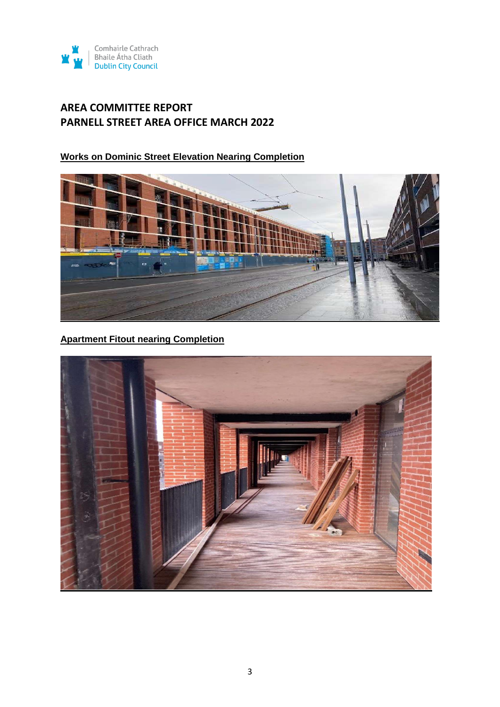

**Works on Dominic Street Elevation Nearing Completion**



### **Apartment Fitout nearing Completion**

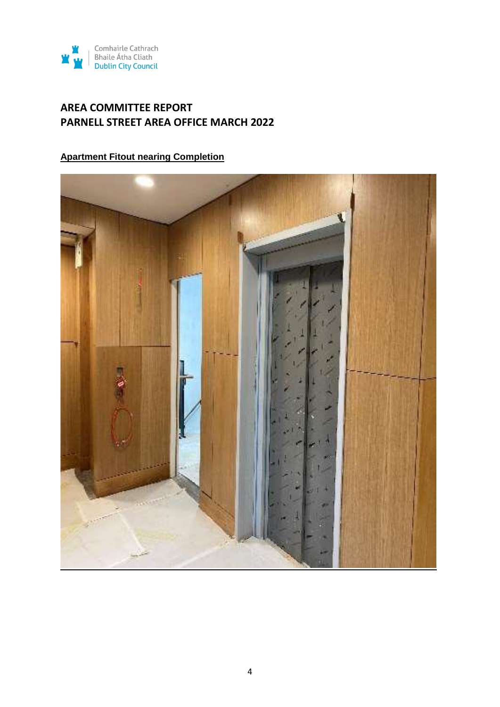

### **Apartment Fitout nearing Completion**

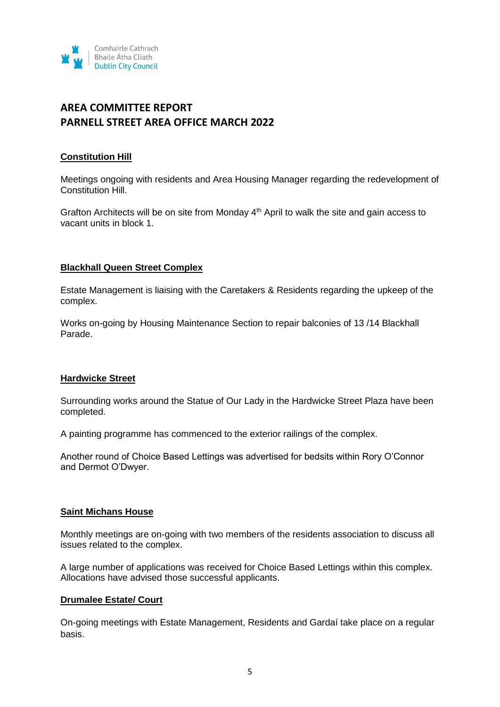

#### **Constitution Hill**

Meetings ongoing with residents and Area Housing Manager regarding the redevelopment of Constitution Hill.

Grafton Architects will be on site from Monday  $4<sup>th</sup>$  April to walk the site and gain access to vacant units in block 1.

#### **Blackhall Queen Street Complex**

Estate Management is liaising with the Caretakers & Residents regarding the upkeep of the complex.

Works on-going by Housing Maintenance Section to repair balconies of 13 /14 Blackhall Parade.

#### **Hardwicke Street**

Surrounding works around the Statue of Our Lady in the Hardwicke Street Plaza have been completed.

A painting programme has commenced to the exterior railings of the complex.

Another round of Choice Based Lettings was advertised for bedsits within Rory O'Connor and Dermot O'Dwyer.

#### **Saint Michans House**

Monthly meetings are on-going with two members of the residents association to discuss all issues related to the complex.

A large number of applications was received for Choice Based Lettings within this complex. Allocations have advised those successful applicants.

#### **Drumalee Estate/ Court**

On-going meetings with Estate Management, Residents and Gardaí take place on a regular basis.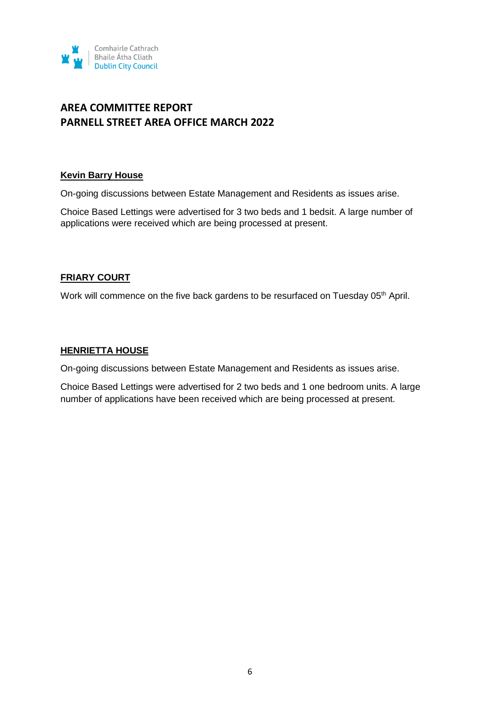

#### **Kevin Barry House**

On-going discussions between Estate Management and Residents as issues arise.

Choice Based Lettings were advertised for 3 two beds and 1 bedsit. A large number of applications were received which are being processed at present.

### **FRIARY COURT**

Work will commence on the five back gardens to be resurfaced on Tuesday 05<sup>th</sup> April.

#### **HENRIETTA HOUSE**

On-going discussions between Estate Management and Residents as issues arise.

Choice Based Lettings were advertised for 2 two beds and 1 one bedroom units. A large number of applications have been received which are being processed at present.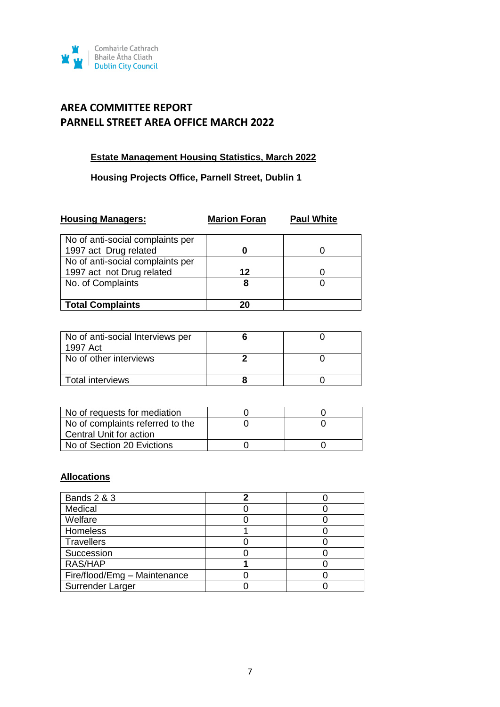

### **Estate Management Housing Statistics, March 2022**

### **Housing Projects Office, Parnell Street, Dublin 1**

| <b>Housing Managers:</b>                                  | <b>Marion Foran</b> | <b>Paul White</b> |
|-----------------------------------------------------------|---------------------|-------------------|
| No of anti-social complaints per                          |                     |                   |
| 1997 act Drug related<br>No of anti-social complaints per |                     |                   |
| 1997 act not Drug related                                 | 12                  |                   |
| No. of Complaints                                         | 8                   |                   |
| <b>Total Complaints</b>                                   | 20                  |                   |

| No of anti-social Interviews per<br>1997 Act |  |
|----------------------------------------------|--|
| No of other interviews                       |  |
| <b>Total interviews</b>                      |  |

| No of requests for mediation     |  |
|----------------------------------|--|
| No of complaints referred to the |  |
| Central Unit for action          |  |
| No of Section 20 Evictions       |  |

### **Allocations**

| <b>Bands 2 &amp; 3</b>       |  |
|------------------------------|--|
| Medical                      |  |
| Welfare                      |  |
| Homeless                     |  |
| <b>Travellers</b>            |  |
| Succession                   |  |
| RAS/HAP                      |  |
| Fire/flood/Emg - Maintenance |  |
| Surrender Larger             |  |